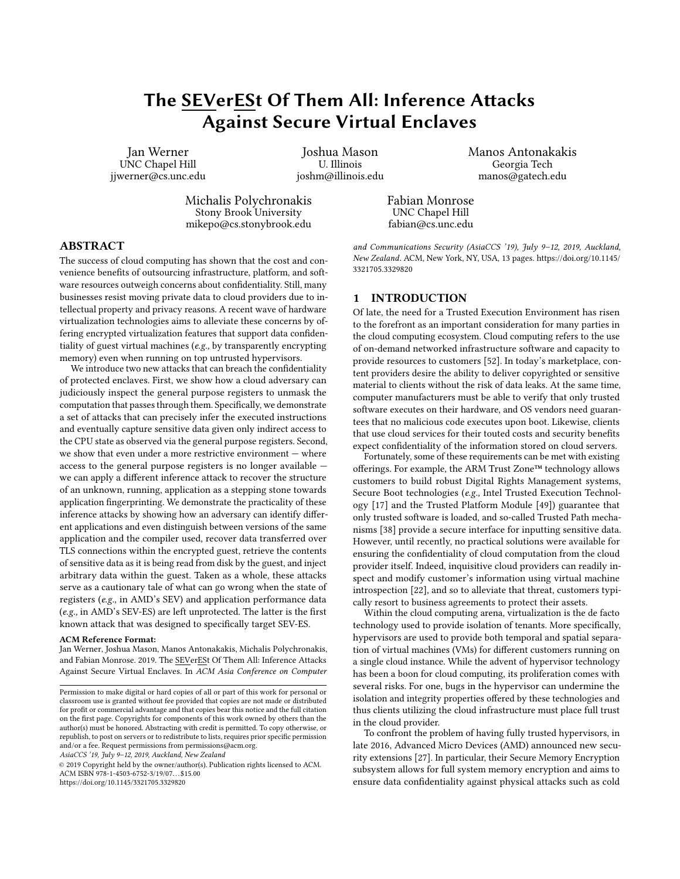# The SEVerESt Of Them All: Inference Attacks Against Secure Virtual Enclaves

Jan Werner UNC Chapel Hill jjwerner@cs.unc.edu

Joshua Mason U. Illinois joshm@illinois.edu

Michalis Polychronakis Stony Brook University mikepo@cs.stonybrook.edu Manos Antonakakis Georgia Tech manos@gatech.edu

Fabian Monrose UNC Chapel Hill fabian@cs.unc.edu

## ABSTRACT

The success of cloud computing has shown that the cost and convenience benefits of outsourcing infrastructure, platform, and software resources outweigh concerns about confidentiality. Still, many businesses resist moving private data to cloud providers due to intellectual property and privacy reasons. A recent wave of hardware virtualization technologies aims to alleviate these concerns by offering encrypted virtualization features that support data confidentiality of guest virtual machines (e.g., by transparently encrypting memory) even when running on top untrusted hypervisors.

We introduce two new attacks that can breach the confidentiality of protected enclaves. First, we show how a cloud adversary can judiciously inspect the general purpose registers to unmask the computation that passes through them. Specifically, we demonstrate a set of attacks that can precisely infer the executed instructions and eventually capture sensitive data given only indirect access to the CPU state as observed via the general purpose registers. Second, we show that even under a more restrictive environment — where access to the general purpose registers is no longer available we can apply a different inference attack to recover the structure of an unknown, running, application as a stepping stone towards application fingerprinting. We demonstrate the practicality of these inference attacks by showing how an adversary can identify different applications and even distinguish between versions of the same application and the compiler used, recover data transferred over TLS connections within the encrypted guest, retrieve the contents of sensitive data as it is being read from disk by the guest, and inject arbitrary data within the guest. Taken as a whole, these attacks serve as a cautionary tale of what can go wrong when the state of registers (e.g., in AMD's SEV) and application performance data (e.g., in AMD's SEV-ES) are left unprotected. The latter is the first known attack that was designed to specifically target SEV-ES.

#### ACM Reference Format:

Jan Werner, Joshua Mason, Manos Antonakakis, Michalis Polychronakis, and Fabian Monrose. 2019. The SEVerESt Of Them All: Inference Attacks Against Secure Virtual Enclaves. In ACM Asia Conference on Computer

AsiaCCS '19, July 9–12, 2019, Auckland, New Zealand

© 2019 Copyright held by the owner/author(s). Publication rights licensed to ACM. ACM ISBN 978-1-4503-6752-3/19/07. . . \$15.00 <https://doi.org/10.1145/3321705.3329820>

and Communications Security (AsiaCCS '19), July 9–12, 2019, Auckland, New Zealand. ACM, New York, NY, USA, [13](#page-12-0) pages. [https://doi.org/10.1145/](https://doi.org/10.1145/3321705.3329820) [3321705.3329820](https://doi.org/10.1145/3321705.3329820)

# 1 INTRODUCTION

Of late, the need for a Trusted Execution Environment has risen to the forefront as an important consideration for many parties in the cloud computing ecosystem. Cloud computing refers to the use of on-demand networked infrastructure software and capacity to provide resources to customers [\[52\]](#page-11-0). In today's marketplace, content providers desire the ability to deliver copyrighted or sensitive material to clients without the risk of data leaks. At the same time, computer manufacturers must be able to verify that only trusted software executes on their hardware, and OS vendors need guarantees that no malicious code executes upon boot. Likewise, clients that use cloud services for their touted costs and security benefits expect confidentiality of the information stored on cloud servers.

Fortunately, some of these requirements can be met with existing offerings. For example, the ARM Trust Zone™ technology allows customers to build robust Digital Rights Management systems, Secure Boot technologies (e.g., Intel Trusted Execution Technology [\[17\]](#page-11-1) and the Trusted Platform Module [\[49\]](#page-11-2)) guarantee that only trusted software is loaded, and so-called Trusted Path mechanisms [\[38\]](#page-11-3) provide a secure interface for inputting sensitive data. However, until recently, no practical solutions were available for ensuring the confidentiality of cloud computation from the cloud provider itself. Indeed, inquisitive cloud providers can readily inspect and modify customer's information using virtual machine introspection [\[22\]](#page-11-4), and so to alleviate that threat, customers typically resort to business agreements to protect their assets.

Within the cloud computing arena, virtualization is the de facto technology used to provide isolation of tenants. More specifically, hypervisors are used to provide both temporal and spatial separation of virtual machines (VMs) for different customers running on a single cloud instance. While the advent of hypervisor technology has been a boon for cloud computing, its proliferation comes with several risks. For one, bugs in the hypervisor can undermine the isolation and integrity properties offered by these technologies and thus clients utilizing the cloud infrastructure must place full trust in the cloud provider.

To confront the problem of having fully trusted hypervisors, in late 2016, Advanced Micro Devices (AMD) announced new security extensions [\[27\]](#page-11-5). In particular, their Secure Memory Encryption subsystem allows for full system memory encryption and aims to ensure data confidentiality against physical attacks such as cold

Permission to make digital or hard copies of all or part of this work for personal or classroom use is granted without fee provided that copies are not made or distributed for profit or commercial advantage and that copies bear this notice and the full citation on the first page. Copyrights for components of this work owned by others than the author(s) must be honored. Abstracting with credit is permitted. To copy otherwise, or republish, to post on servers or to redistribute to lists, requires prior specific permission and/or a fee. Request permissions from permissions@acm.org.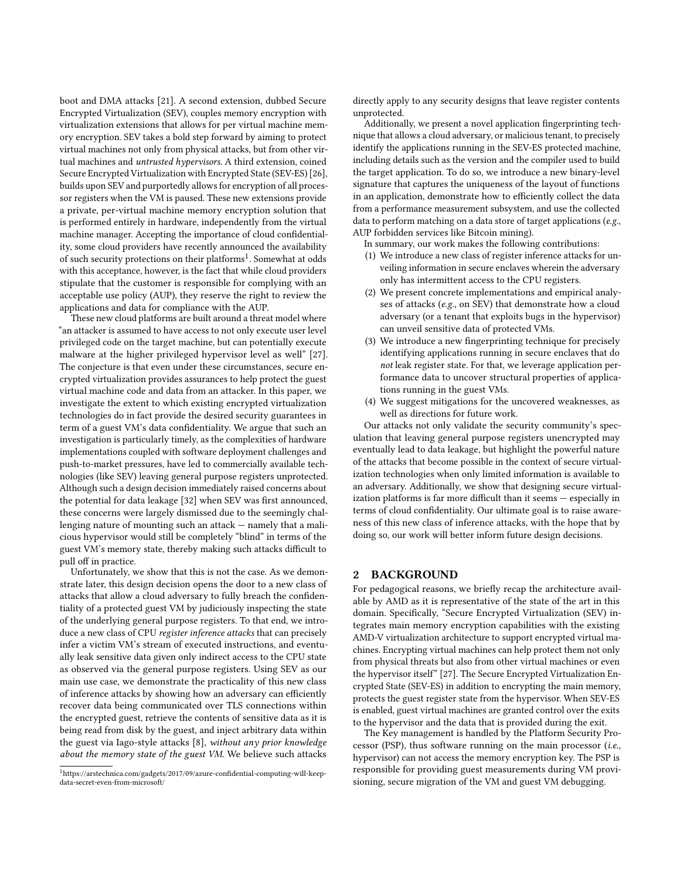boot and DMA attacks [\[21\]](#page-11-6). A second extension, dubbed Secure Encrypted Virtualization (SEV), couples memory encryption with virtualization extensions that allows for per virtual machine memory encryption. SEV takes a bold step forward by aiming to protect virtual machines not only from physical attacks, but from other virtual machines and untrusted hypervisors. A third extension, coined Secure Encrypted Virtualization with Encrypted State (SEV-ES) [\[26\]](#page-11-7), builds upon SEV and purportedly allows for encryption of all processor registers when the VM is paused. These new extensions provide a private, per-virtual machine memory encryption solution that is performed entirely in hardware, independently from the virtual machine manager. Accepting the importance of cloud confidentiality, some cloud providers have recently announced the availability of such security protections on their platforms<sup>[1](#page-1-0)</sup>. Somewhat at odds with this acceptance, however, is the fact that while cloud providers stipulate that the customer is responsible for complying with an acceptable use policy (AUP), they reserve the right to review the applications and data for compliance with the AUP.

These new cloud platforms are built around a threat model where "an attacker is assumed to have access to not only execute user level privileged code on the target machine, but can potentially execute malware at the higher privileged hypervisor level as well" [\[27\]](#page-11-5). The conjecture is that even under these circumstances, secure encrypted virtualization provides assurances to help protect the guest virtual machine code and data from an attacker. In this paper, we investigate the extent to which existing encrypted virtualization technologies do in fact provide the desired security guarantees in term of a guest VM's data confidentiality. We argue that such an investigation is particularly timely, as the complexities of hardware implementations coupled with software deployment challenges and push-to-market pressures, have led to commercially available technologies (like SEV) leaving general purpose registers unprotected. Although such a design decision immediately raised concerns about the potential for data leakage [\[32\]](#page-11-8) when SEV was first announced, these concerns were largely dismissed due to the seemingly challenging nature of mounting such an attack — namely that a malicious hypervisor would still be completely "blind" in terms of the guest VM's memory state, thereby making such attacks difficult to pull off in practice.

Unfortunately, we show that this is not the case. As we demonstrate later, this design decision opens the door to a new class of attacks that allow a cloud adversary to fully breach the confidentiality of a protected guest VM by judiciously inspecting the state of the underlying general purpose registers. To that end, we introduce a new class of CPU register inference attacks that can precisely infer a victim VM's stream of executed instructions, and eventually leak sensitive data given only indirect access to the CPU state as observed via the general purpose registers. Using SEV as our main use case, we demonstrate the practicality of this new class of inference attacks by showing how an adversary can efficiently recover data being communicated over TLS connections within the encrypted guest, retrieve the contents of sensitive data as it is being read from disk by the guest, and inject arbitrary data within the guest via Iago-style attacks [\[8\]](#page-11-9), without any prior knowledge about the memory state of the guest VM. We believe such attacks

directly apply to any security designs that leave register contents unprotected.

Additionally, we present a novel application fingerprinting technique that allows a cloud adversary, or malicious tenant, to precisely identify the applications running in the SEV-ES protected machine, including details such as the version and the compiler used to build the target application. To do so, we introduce a new binary-level signature that captures the uniqueness of the layout of functions in an application, demonstrate how to efficiently collect the data from a performance measurement subsystem, and use the collected data to perform matching on a data store of target applications (e.g., AUP forbidden services like Bitcoin mining).

In summary, our work makes the following contributions:

- (1) We introduce a new class of register inference attacks for unveiling information in secure enclaves wherein the adversary only has intermittent access to the CPU registers.
- (2) We present concrete implementations and empirical analyses of attacks (e.g., on SEV) that demonstrate how a cloud adversary (or a tenant that exploits bugs in the hypervisor) can unveil sensitive data of protected VMs.
- (3) We introduce a new fingerprinting technique for precisely identifying applications running in secure enclaves that do not leak register state. For that, we leverage application performance data to uncover structural properties of applications running in the guest VMs.
- (4) We suggest mitigations for the uncovered weaknesses, as well as directions for future work.

Our attacks not only validate the security community's speculation that leaving general purpose registers unencrypted may eventually lead to data leakage, but highlight the powerful nature of the attacks that become possible in the context of secure virtualization technologies when only limited information is available to an adversary. Additionally, we show that designing secure virtualization platforms is far more difficult than it seems — especially in terms of cloud confidentiality. Our ultimate goal is to raise awareness of this new class of inference attacks, with the hope that by doing so, our work will better inform future design decisions.

# 2 BACKGROUND

For pedagogical reasons, we briefly recap the architecture available by AMD as it is representative of the state of the art in this domain. Specifically, "Secure Encrypted Virtualization (SEV) integrates main memory encryption capabilities with the existing AMD-V virtualization architecture to support encrypted virtual machines. Encrypting virtual machines can help protect them not only from physical threats but also from other virtual machines or even the hypervisor itself" [\[27\]](#page-11-5). The Secure Encrypted Virtualization Encrypted State (SEV-ES) in addition to encrypting the main memory, protects the guest register state from the hypervisor. When SEV-ES is enabled, guest virtual machines are granted control over the exits to the hypervisor and the data that is provided during the exit.

The Key management is handled by the Platform Security Processor (PSP), thus software running on the main processor (i.e., hypervisor) can not access the memory encryption key. The PSP is responsible for providing guest measurements during VM provisioning, secure migration of the VM and guest VM debugging.

<span id="page-1-0"></span><sup>1</sup>https://arstechnica.com/gadgets/2017/09/azure-confidential-computing-will-keepdata-secret-even-from-microsoft/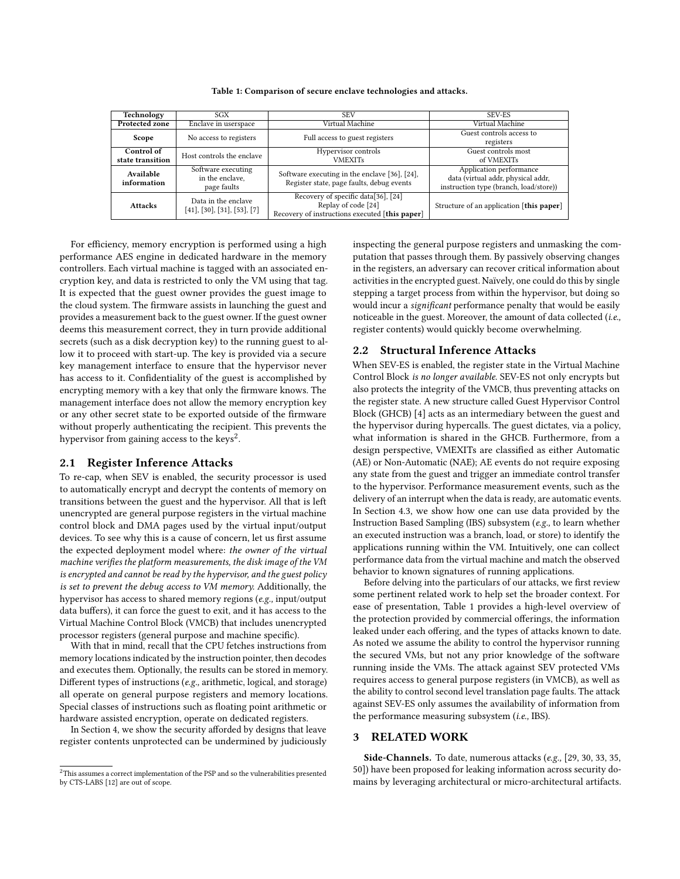<span id="page-2-1"></span>

| Technology                     | SGX                                                              | <b>SEV</b>                                                                                                   | SEV-ES                                                                                                  |
|--------------------------------|------------------------------------------------------------------|--------------------------------------------------------------------------------------------------------------|---------------------------------------------------------------------------------------------------------|
| <b>Protected zone</b>          | Enclave in userspace                                             | Virtual Machine                                                                                              | Virtual Machine                                                                                         |
| Scope                          | No access to registers                                           | Full access to guest registers                                                                               | Guest controls access to<br>registers                                                                   |
| Control of<br>state transition | Host controls the enclave                                        | Hypervisor controls<br><b>VMEXITs</b>                                                                        | Guest controls most<br>of VMEXITs                                                                       |
| Available<br>information       | Software executing<br>in the enclave,<br>page faults             | Software executing in the enclave [36], [24],<br>Register state, page faults, debug events                   | Application performance<br>data (virtual addr, physical addr,<br>instruction type (branch, load/store)) |
| <b>Attacks</b>                 | Data in the enclave<br>$[41]$ , $[30]$ , $[31]$ , $[53]$ , $[7]$ | Recovery of specific data[36], [24]<br>Replay of code [24]<br>Recovery of instructions executed [this paper] | Structure of an application [this paper]                                                                |

Table 1: Comparison of secure enclave technologies and attacks.

For efficiency, memory encryption is performed using a high performance AES engine in dedicated hardware in the memory controllers. Each virtual machine is tagged with an associated encryption key, and data is restricted to only the VM using that tag. It is expected that the guest owner provides the guest image to the cloud system. The firmware assists in launching the guest and provides a measurement back to the guest owner. If the guest owner deems this measurement correct, they in turn provide additional secrets (such as a disk decryption key) to the running guest to allow it to proceed with start-up. The key is provided via a secure key management interface to ensure that the hypervisor never has access to it. Confidentiality of the guest is accomplished by encrypting memory with a key that only the firmware knows. The management interface does not allow the memory encryption key or any other secret state to be exported outside of the firmware without properly authenticating the recipient. This prevents the hypervisor from gaining access to the keys<sup>[2](#page-2-0)</sup>.

## 2.1 Register Inference Attacks

To re-cap, when SEV is enabled, the security processor is used to automatically encrypt and decrypt the contents of memory on transitions between the guest and the hypervisor. All that is left unencrypted are general purpose registers in the virtual machine control block and DMA pages used by the virtual input/output devices. To see why this is a cause of concern, let us first assume the expected deployment model where: the owner of the virtual machine verifies the platform measurements, the disk image of the VM is encrypted and cannot be read by the hypervisor, and the guest policy is set to prevent the debug access to VM memory. Additionally, the hypervisor has access to shared memory regions (e.g., input/output data buffers), it can force the guest to exit, and it has access to the Virtual Machine Control Block (VMCB) that includes unencrypted processor registers (general purpose and machine specific).

With that in mind, recall that the CPU fetches instructions from memory locations indicated by the instruction pointer, then decodes and executes them. Optionally, the results can be stored in memory. Different types of instructions (e.g., arithmetic, logical, and storage) all operate on general purpose registers and memory locations. Special classes of instructions such as floating point arithmetic or hardware assisted encryption, operate on dedicated registers.

In Section [4,](#page-3-0) we show the security afforded by designs that leave register contents unprotected can be undermined by judiciously inspecting the general purpose registers and unmasking the computation that passes through them. By passively observing changes in the registers, an adversary can recover critical information about activities in the encrypted guest. Naïvely, one could do this by single stepping a target process from within the hypervisor, but doing so would incur a *significant* performance penalty that would be easily noticeable in the guest. Moreover, the amount of data collected (i.e., register contents) would quickly become overwhelming.

#### 2.2 Structural Inference Attacks

When SEV-ES is enabled, the register state in the Virtual Machine Control Block is no longer available. SEV-ES not only encrypts but also protects the integrity of the VMCB, thus preventing attacks on the register state. A new structure called Guest Hypervisor Control Block (GHCB) [\[4\]](#page-11-18) acts as an intermediary between the guest and the hypervisor during hypercalls. The guest dictates, via a policy, what information is shared in the GHCB. Furthermore, from a design perspective, VMEXITs are classified as either Automatic (AE) or Non-Automatic (NAE); AE events do not require exposing any state from the guest and trigger an immediate control transfer to the hypervisor. Performance measurement events, such as the delivery of an interrupt when the data is ready, are automatic events. In Section [4.3,](#page-6-0) we show how one can use data provided by the Instruction Based Sampling (IBS) subsystem (e.g., to learn whether an executed instruction was a branch, load, or store) to identify the applications running within the VM. Intuitively, one can collect performance data from the virtual machine and match the observed behavior to known signatures of running applications.

Before delving into the particulars of our attacks, we first review some pertinent related work to help set the broader context. For ease of presentation, Table [1](#page-2-1) provides a high-level overview of the protection provided by commercial offerings, the information leaked under each offering, and the types of attacks known to date. As noted we assume the ability to control the hypervisor running the secured VMs, but not any prior knowledge of the software running inside the VMs. The attack against SEV protected VMs requires access to general purpose registers (in VMCB), as well as the ability to control second level translation page faults. The attack against SEV-ES only assumes the availability of information from the performance measuring subsystem (i.e., IBS).

#### 3 RELATED WORK

Side-Channels. To date, numerous attacks (e.g., [\[29,](#page-11-19) [30,](#page-11-13) [33,](#page-11-20) [35,](#page-11-21) [50\]](#page-11-22)) have been proposed for leaking information across security domains by leveraging architectural or micro-architectural artifacts.

<span id="page-2-0"></span><sup>2</sup>This assumes a correct implementation of the PSP and so the vulnerabilities presented by CTS-LABS [\[12\]](#page-11-17) are out of scope.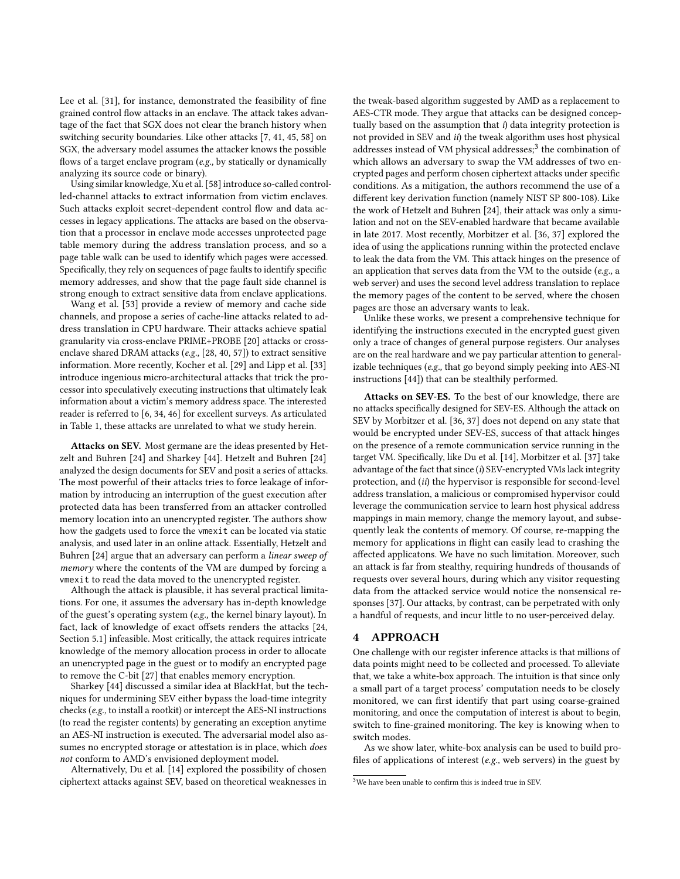Lee et al. [\[31\]](#page-11-14), for instance, demonstrated the feasibility of fine grained control flow attacks in an enclave. The attack takes advantage of the fact that SGX does not clear the branch history when switching security boundaries. Like other attacks [\[7,](#page-11-16) [41,](#page-11-12) [45,](#page-11-23) [58\]](#page-11-24) on SGX, the adversary model assumes the attacker knows the possible flows of a target enclave program (e.g., by statically or dynamically analyzing its source code or binary).

Using similar knowledge, Xu et al. [\[58\]](#page-11-24) introduce so-called controlled-channel attacks to extract information from victim enclaves. Such attacks exploit secret-dependent control flow and data accesses in legacy applications. The attacks are based on the observation that a processor in enclave mode accesses unprotected page table memory during the address translation process, and so a page table walk can be used to identify which pages were accessed. Specifically, they rely on sequences of page faults to identify specific memory addresses, and show that the page fault side channel is strong enough to extract sensitive data from enclave applications.

Wang et al. [\[53\]](#page-11-15) provide a review of memory and cache side channels, and propose a series of cache-line attacks related to address translation in CPU hardware. Their attacks achieve spatial granularity via cross-enclave PRIME+PROBE [\[20\]](#page-11-25) attacks or crossenclave shared DRAM attacks (e.g., [\[28,](#page-11-26) [40,](#page-11-27) [57\]](#page-11-28)) to extract sensitive information. More recently, Kocher et al. [\[29\]](#page-11-19) and Lipp et al. [\[33\]](#page-11-20) introduce ingenious micro-architectural attacks that trick the processor into speculatively executing instructions that ultimately leak information about a victim's memory address space. The interested reader is referred to [\[6,](#page-11-29) [34,](#page-11-30) [46\]](#page-11-31) for excellent surveys. As articulated in Table [1,](#page-2-1) these attacks are unrelated to what we study herein.

Attacks on SEV. Most germane are the ideas presented by Hetzelt and Buhren [\[24\]](#page-11-11) and Sharkey [\[44\]](#page-11-32). Hetzelt and Buhren [\[24\]](#page-11-11) analyzed the design documents for SEV and posit a series of attacks. The most powerful of their attacks tries to force leakage of information by introducing an interruption of the guest execution after protected data has been transferred from an attacker controlled memory location into an unencrypted register. The authors show how the gadgets used to force the vmexit can be located via static analysis, and used later in an online attack. Essentially, Hetzelt and Buhren [\[24\]](#page-11-11) argue that an adversary can perform a linear sweep of memory where the contents of the VM are dumped by forcing a vmexit to read the data moved to the unencrypted register.

Although the attack is plausible, it has several practical limitations. For one, it assumes the adversary has in-depth knowledge of the guest's operating system (e.g., the kernel binary layout). In fact, lack of knowledge of exact offsets renders the attacks [\[24,](#page-11-11) Section 5.1] infeasible. Most critically, the attack requires intricate knowledge of the memory allocation process in order to allocate an unencrypted page in the guest or to modify an encrypted page to remove the C-bit [\[27\]](#page-11-5) that enables memory encryption.

Sharkey [\[44\]](#page-11-32) discussed a similar idea at BlackHat, but the techniques for undermining SEV either bypass the load-time integrity checks (e.g., to install a rootkit) or intercept the AES-NI instructions (to read the register contents) by generating an exception anytime an AES-NI instruction is executed. The adversarial model also assumes no encrypted storage or attestation is in place, which does not conform to AMD's envisioned deployment model.

Alternatively, Du et al. [\[14\]](#page-11-33) explored the possibility of chosen ciphertext attacks against SEV, based on theoretical weaknesses in the tweak-based algorithm suggested by AMD as a replacement to AES-CTR mode. They argue that attacks can be designed conceptually based on the assumption that i) data integrity protection is not provided in SEV and ii) the tweak algorithm uses host physical addresses instead of VM physical addresses;<sup>[3](#page-3-1)</sup> the combination of which allows an adversary to swap the VM addresses of two encrypted pages and perform chosen ciphertext attacks under specific conditions. As a mitigation, the authors recommend the use of a different key derivation function (namely NIST SP 800-108). Like the work of Hetzelt and Buhren [\[24\]](#page-11-11), their attack was only a simulation and not on the SEV-enabled hardware that became available in late 2017. Most recently, Morbitzer et al. [\[36,](#page-11-10) [37\]](#page-11-34) explored the idea of using the applications running within the protected enclave to leak the data from the VM. This attack hinges on the presence of an application that serves data from the VM to the outside (e.g., a web server) and uses the second level address translation to replace the memory pages of the content to be served, where the chosen pages are those an adversary wants to leak.

Unlike these works, we present a comprehensive technique for identifying the instructions executed in the encrypted guest given only a trace of changes of general purpose registers. Our analyses are on the real hardware and we pay particular attention to generalizable techniques (e.g., that go beyond simply peeking into AES-NI instructions [\[44\]](#page-11-32)) that can be stealthily performed.

Attacks on SEV-ES. To the best of our knowledge, there are no attacks specifically designed for SEV-ES. Although the attack on SEV by Morbitzer et al. [\[36,](#page-11-10) [37\]](#page-11-34) does not depend on any state that would be encrypted under SEV-ES, success of that attack hinges on the presence of a remote communication service running in the target VM. Specifically, like Du et al. [\[14\]](#page-11-33), Morbitzer et al. [\[37\]](#page-11-34) take advantage of the fact that since  $(i)$  SEV-encrypted VMs lack integrity protection, and (ii) the hypervisor is responsible for second-level address translation, a malicious or compromised hypervisor could leverage the communication service to learn host physical address mappings in main memory, change the memory layout, and subsequently leak the contents of memory. Of course, re-mapping the memory for applications in flight can easily lead to crashing the affected applicatons. We have no such limitation. Moreover, such an attack is far from stealthy, requiring hundreds of thousands of requests over several hours, during which any visitor requesting data from the attacked service would notice the nonsensical responses [\[37\]](#page-11-34). Our attacks, by contrast, can be perpetrated with only a handful of requests, and incur little to no user-perceived delay.

#### <span id="page-3-0"></span>4 APPROACH

One challenge with our register inference attacks is that millions of data points might need to be collected and processed. To alleviate that, we take a white-box approach. The intuition is that since only a small part of a target process' computation needs to be closely monitored, we can first identify that part using coarse-grained monitoring, and once the computation of interest is about to begin, switch to fine-grained monitoring. The key is knowing when to switch modes.

As we show later, white-box analysis can be used to build profiles of applications of interest (e.g., web servers) in the guest by

<span id="page-3-1"></span><sup>3</sup>We have been unable to confirm this is indeed true in SEV.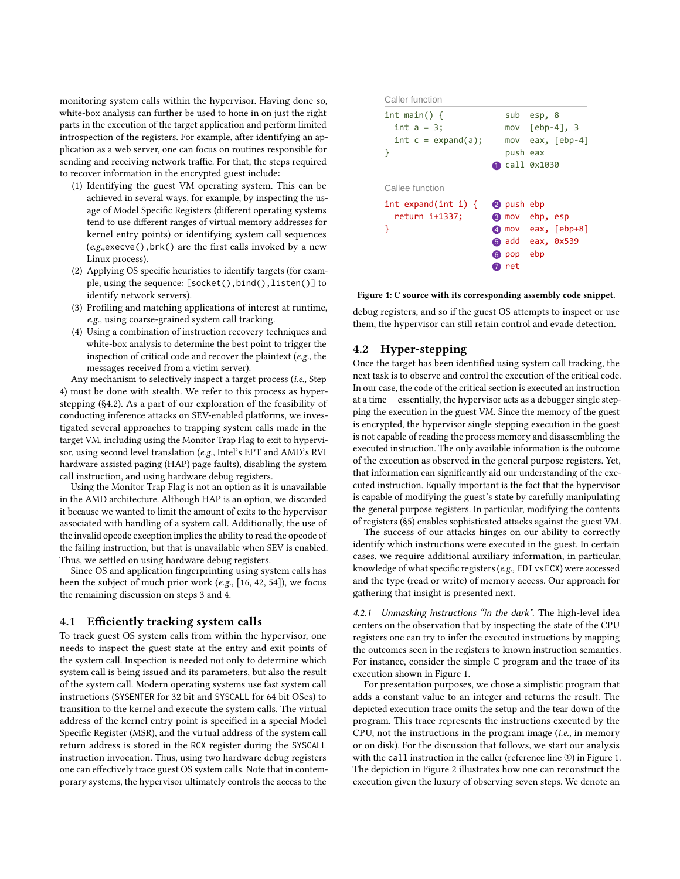monitoring system calls within the hypervisor. Having done so, white-box analysis can further be used to hone in on just the right parts in the execution of the target application and perform limited introspection of the registers. For example, after identifying an application as a web server, one can focus on routines responsible for sending and receiving network traffic. For that, the steps required to recover information in the encrypted guest include:

- (1) Identifying the guest VM operating system. This can be achieved in several ways, for example, by inspecting the usage of Model Specific Registers (different operating systems tend to use different ranges of virtual memory addresses for kernel entry points) or identifying system call sequences  $(e.g.,\text{execute}()$ , brk $()$  are the first calls invoked by a new Linux process).
- (2) Applying OS specific heuristics to identify targets (for example, using the sequence: [socket(),bind(),listen()] to identify network servers).
- (3) Profiling and matching applications of interest at runtime, e.g., using coarse-grained system call tracking.
- (4) Using a combination of instruction recovery techniques and white-box analysis to determine the best point to trigger the inspection of critical code and recover the plaintext (e.g., the messages received from a victim server).

Any mechanism to selectively inspect a target process (i.e., Step 4) must be done with stealth. We refer to this process as hyperstepping ([§4.2\)](#page-4-0). As a part of our exploration of the feasibility of conducting inference attacks on SEV-enabled platforms, we investigated several approaches to trapping system calls made in the target VM, including using the Monitor Trap Flag to exit to hypervisor, using second level translation (e.g., Intel's EPT and AMD's RVI hardware assisted paging (HAP) page faults), disabling the system call instruction, and using hardware debug registers.

Using the Monitor Trap Flag is not an option as it is unavailable in the AMD architecture. Although HAP is an option, we discarded it because we wanted to limit the amount of exits to the hypervisor associated with handling of a system call. Additionally, the use of the invalid opcode exception implies the ability to read the opcode of the failing instruction, but that is unavailable when SEV is enabled. Thus, we settled on using hardware debug registers.

Since OS and application fingerprinting using system calls has been the subject of much prior work (e.g., [\[16,](#page-11-35) [42,](#page-11-36) [54\]](#page-11-37)), we focus the remaining discussion on steps 3 and 4.

#### <span id="page-4-3"></span>4.1 Efficiently tracking system calls

To track guest OS system calls from within the hypervisor, one needs to inspect the guest state at the entry and exit points of the system call. Inspection is needed not only to determine which system call is being issued and its parameters, but also the result of the system call. Modern operating systems use fast system call instructions (SYSENTER for 32 bit and SYSCALL for 64 bit OSes) to transition to the kernel and execute the system calls. The virtual address of the kernel entry point is specified in a special Model Specific Register (MSR), and the virtual address of the system call return address is stored in the RCX register during the SYSCALL instruction invocation. Thus, using two hardware debug registers one can effectively trace guest OS system calls. Note that in contemporary systems, the hypervisor ultimately controls the access to the

<span id="page-4-1"></span>

| Caller function                                            |                                                                                                                    |
|------------------------------------------------------------|--------------------------------------------------------------------------------------------------------------------|
| int main() f<br>$int a = 3$ ;<br>$int c = expand(a);$<br>ł | sub esp, 8<br>mov $[ebp-4]$ , 3<br>eax, $[ebp-4]$<br>mov<br>push eax<br><b>Call 0x1030</b>                         |
| Callee function                                            |                                                                                                                    |
| int expand(int i) $\{$<br>return i+1337;<br>ł              | 2 push ebp<br>8 mov ebp, esp<br>eax, $[ebp+8]$<br>$\overline{4}$ mov<br>6 add<br>eax, 0x539<br>ebp<br>6 pop<br>ret |

Figure 1: C source with its corresponding assembly code snippet.

debug registers, and so if the guest OS attempts to inspect or use them, the hypervisor can still retain control and evade detection.

## <span id="page-4-0"></span>4.2 Hyper-stepping

Once the target has been identified using system call tracking, the next task is to observe and control the execution of the critical code. In our case, the code of the critical section is executed an instruction at a time — essentially, the hypervisor acts as a debugger single stepping the execution in the guest VM. Since the memory of the guest is encrypted, the hypervisor single stepping execution in the guest is not capable of reading the process memory and disassembling the executed instruction. The only available information is the outcome of the execution as observed in the general purpose registers. Yet, that information can significantly aid our understanding of the executed instruction. Equally important is the fact that the hypervisor is capable of modifying the guest's state by carefully manipulating the general purpose registers. In particular, modifying the contents of registers ([§5\)](#page-7-0) enables sophisticated attacks against the guest VM.

The success of our attacks hinges on our ability to correctly identify which instructions were executed in the guest. In certain cases, we require additional auxiliary information, in particular, knowledge of what specific registers (e.g., EDI vs ECX) were accessed and the type (read or write) of memory access. Our approach for gathering that insight is presented next.

<span id="page-4-2"></span>4.2.1 Unmasking instructions "in the dark". The high-level idea centers on the observation that by inspecting the state of the CPU registers one can try to infer the executed instructions by mapping the outcomes seen in the registers to known instruction semantics. For instance, consider the simple C program and the trace of its execution shown in Figure [1.](#page-4-1)

For presentation purposes, we chose a simplistic program that adds a constant value to an integer and returns the result. The depicted execution trace omits the setup and the tear down of the program. This trace represents the instructions executed by the CPU, not the instructions in the program image  $(i.e.,$  in memory or on disk). For the discussion that follows, we start our analysis with the call instruction in the caller (reference line ①) in Figure [1.](#page-4-1) The depiction in Figure [2](#page-5-0) illustrates how one can reconstruct the execution given the luxury of observing seven steps. We denote an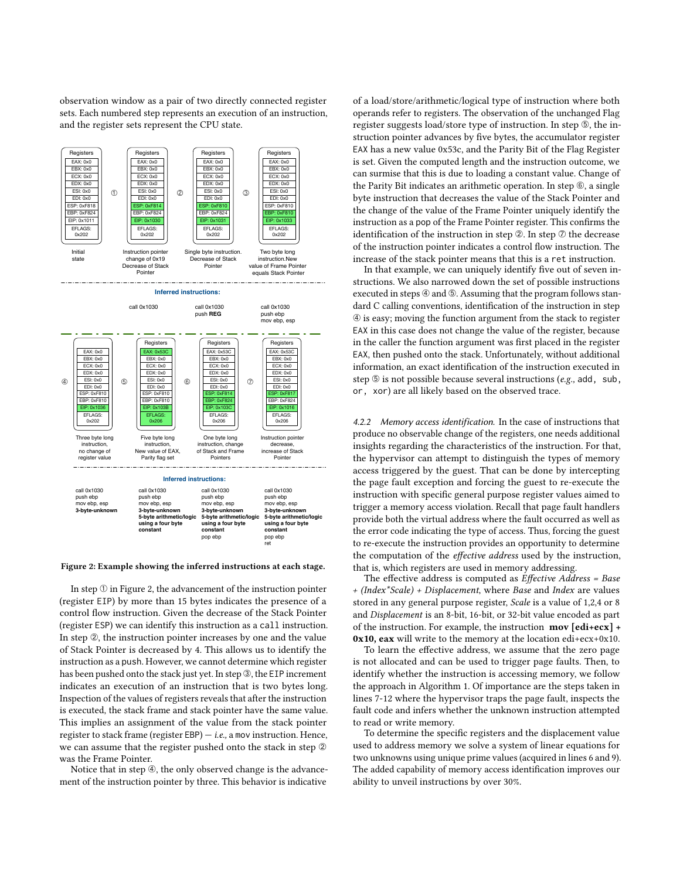observation window as a pair of two directly connected register sets. Each numbered step represents an execution of an instruction, and the register sets represent the CPU state.

<span id="page-5-0"></span>

Figure 2: Example showing the inferred instructions at each stage.

In step  $\Phi$  in Figure [2,](#page-5-0) the advancement of the instruction pointer (register EIP) by more than 15 bytes indicates the presence of a control flow instruction. Given the decrease of the Stack Pointer (register ESP) we can identify this instruction as a call instruction. In step ②, the instruction pointer increases by one and the value of Stack Pointer is decreased by 4. This allows us to identify the instruction as a push. However, we cannot determine which register has been pushed onto the stack just yet. In step **③**, the EIP increment indicates an execution of an instruction that is two bytes long. Inspection of the values of registers reveals that after the instruction is executed, the stack frame and stack pointer have the same value. This implies an assignment of the value from the stack pointer register to stack frame (register EBP)  $-$  *i.e.*, a mov instruction. Hence, we can assume that the register pushed onto the stack in step  $@$ was the Frame Pointer.

Notice that in step ➃, the only observed change is the advancement of the instruction pointer by three. This behavior is indicative

of a load/store/arithmetic/logical type of instruction where both operands refer to registers. The observation of the unchanged Flag register suggests load/store type of instruction. In step  $\circledS$ , the instruction pointer advances by five bytes, the accumulator register EAX has a new value 0x53c, and the Parity Bit of the Flag Register is set. Given the computed length and the instruction outcome, we can surmise that this is due to loading a constant value. Change of the Parity Bit indicates an arithmetic operation. In step ➅, a single byte instruction that decreases the value of the Stack Pointer and the change of the value of the Frame Pointer uniquely identify the instruction as a pop of the Frame Pointer register. This confirms the identification of the instruction in step  $\mathcal{D}$ . In step  $\mathcal D$  the decrease of the instruction pointer indicates a control flow instruction. The increase of the stack pointer means that this is a ret instruction.

In that example, we can uniquely identify five out of seven instructions. We also narrowed down the set of possible instructions executed in steps  $@$  and  $@$ . Assuming that the program follows standard C calling conventions, identification of the instruction in step ➃ is easy; moving the function argument from the stack to register EAX in this case does not change the value of the register, because in the caller the function argument was first placed in the register EAX, then pushed onto the stack. Unfortunately, without additional information, an exact identification of the instruction executed in step  $\circledcirc$  is not possible because several instructions (e.g., add, sub, or, xor) are all likely based on the observed trace.

<span id="page-5-1"></span>4.2.2 Memory access identification. In the case of instructions that produce no observable change of the registers, one needs additional insights regarding the characteristics of the instruction. For that, the hypervisor can attempt to distinguish the types of memory access triggered by the guest. That can be done by intercepting the page fault exception and forcing the guest to re-execute the instruction with specific general purpose register values aimed to trigger a memory access violation. Recall that page fault handlers provide both the virtual address where the fault occurred as well as the error code indicating the type of access. Thus, forcing the guest to re-execute the instruction provides an opportunity to determine the computation of the effective address used by the instruction, that is, which registers are used in memory addressing.

The effective address is computed as Effective Address = Base + (Index\*Scale) + Displacement, where Base and Index are values stored in any general purpose register, Scale is a value of 1,2,4 or 8 and Displacement is an 8-bit, 16-bit, or 32-bit value encoded as part of the instruction. For example, the instruction mov [edi+ecx] + 0x10, eax will write to the memory at the location edi+ecx+0x10.

To learn the effective address, we assume that the zero page is not allocated and can be used to trigger page faults. Then, to identify whether the instruction is accessing memory, we follow the approach in Algorithm [1.](#page-6-1) Of importance are the steps taken in lines 7-12 where the hypervisor traps the page fault, inspects the fault code and infers whether the unknown instruction attempted to read or write memory.

To determine the specific registers and the displacement value used to address memory we solve a system of linear equations for two unknowns using unique prime values (acquired in lines [6](#page-6-1) and [9\)](#page-6-1). The added capability of memory access identification improves our ability to unveil instructions by over 30%.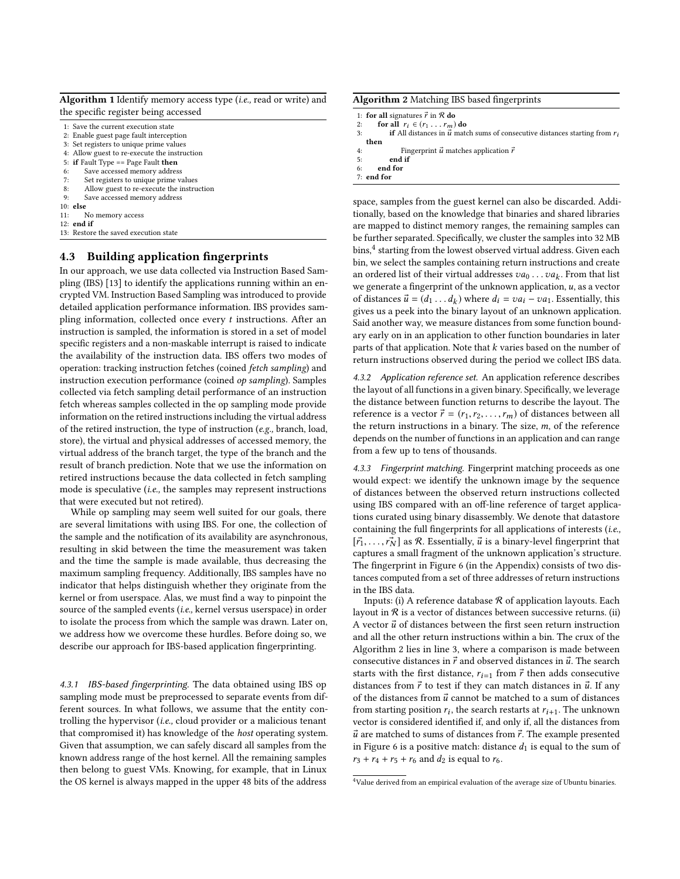<span id="page-6-1"></span>

| <b>Algorithm 1</b> Identify memory access type ( <i>i.e.</i> , read or write) and |  |  |  |  |
|-----------------------------------------------------------------------------------|--|--|--|--|
| the specific register being accessed                                              |  |  |  |  |

|  |  |  |  |  | 1: Save the current execution state |  |
|--|--|--|--|--|-------------------------------------|--|
|--|--|--|--|--|-------------------------------------|--|

- 2: Enable guest page fault interception
- 3: Set registers to unique prime values
- 4: Allow guest to re-execute the instruction
- 5: if Fault Type == Page Fault then
- 6: Save accessed memory address
- 7: Set registers to unique prime values
- 8: Allow guest to re-execute the instruction
- 9: Save accessed memory address
- 10: else
- 11: No memory access
- $12<sub>1</sub>$  end if
- 13: Restore the saved execution state

#### <span id="page-6-0"></span>4.3 Building application fingerprints

In our approach, we use data collected via Instruction Based Sampling (IBS) [\[13\]](#page-11-38) to identify the applications running within an encrypted VM. Instruction Based Sampling was introduced to provide detailed application performance information. IBS provides sampling information, collected once every  $t$  instructions. After an instruction is sampled, the information is stored in a set of model specific registers and a non-maskable interrupt is raised to indicate the availability of the instruction data. IBS offers two modes of operation: tracking instruction fetches (coined fetch sampling) and instruction execution performance (coined op sampling). Samples collected via fetch sampling detail performance of an instruction fetch whereas samples collected in the op sampling mode provide information on the retired instructions including the virtual address of the retired instruction, the type of instruction (e.g., branch, load, store), the virtual and physical addresses of accessed memory, the virtual address of the branch target, the type of the branch and the result of branch prediction. Note that we use the information on retired instructions because the data collected in fetch sampling mode is speculative (i.e., the samples may represent instructions that were executed but not retired).

While op sampling may seem well suited for our goals, there are several limitations with using IBS. For one, the collection of the sample and the notification of its availability are asynchronous, resulting in skid between the time the measurement was taken and the time the sample is made available, thus decreasing the maximum sampling frequency. Additionally, IBS samples have no indicator that helps distinguish whether they originate from the kernel or from userspace. Alas, we must find a way to pinpoint the source of the sampled events (i.e., kernel versus userspace) in order to isolate the process from which the sample was drawn. Later on, we address how we overcome these hurdles. Before doing so, we describe our approach for IBS-based application fingerprinting.

4.3.1 IBS-based fingerprinting. The data obtained using IBS op sampling mode must be preprocessed to separate events from different sources. In what follows, we assume that the entity controlling the hypervisor (i.e., cloud provider or a malicious tenant that compromised it) has knowledge of the host operating system. Given that assumption, we can safely discard all samples from the known address range of the host kernel. All the remaining samples then belong to guest VMs. Knowing, for example, that in Linux the OS kernel is always mapped in the upper 48 bits of the address

<span id="page-6-3"></span>Algorithm 2 Matching IBS based fingerprints

```
1: for all signatures \vec{r} in \mathcal R do
```

```
2: for all r_i \in (r_1 \dots r_m) do<br>3: if All distances in \vec{u} mate
```
if All distances in  $\vec{u}$  match sums of consecutive distances starting from  $r_i$ then

4: Fingerprint  $\vec{u}$  matches application  $\vec{r}$ 

5: end if

end for 7: end for

space, samples from the guest kernel can also be discarded. Additionally, based on the knowledge that binaries and shared libraries are mapped to distinct memory ranges, the remaining samples can be further separated. Specifically, we cluster the samples into 32 MB  $bins, <sup>4</sup>$  $bins, <sup>4</sup>$  $bins, <sup>4</sup>$  starting from the lowest observed virtual address. Given each bin, we select the samples containing return instructions and create an ordered list of their virtual addresses  $va_0 \dots va_k$ . From that list<br>we generate a fingerprint of the unknown application  $u$  as a vector we generate a fingerprint of the unknown application,  $u$ , as a vector of distances  $\vec{u} = (d_1 \dots d_k)$  where  $d_i = va_i - va_1$ . Essentially, this gives us a neek into the binary layout of an unknown application gives us a peek into the binary layout of an unknown application. Said another way, we measure distances from some function boundary early on in an application to other function boundaries in later parts of that application. Note that  $k$  varies based on the number of return instructions observed during the period we collect IBS data.

4.3.2 Application reference set. An application reference describes the layout of all functions in a given binary. Specifically, we leverage the distance between function returns to describe the layout. The reference is a vector  $\vec{r} = (r_1, r_2, \dots, r_m)$  of distances between all the return instructions in a binary. The size,  $m$ , of the reference depends on the number of functions in an application and can range from a few up to tens of thousands.

4.3.3 Fingerprint matching. Fingerprint matching proceeds as one would expect: we identify the unknown image by the sequence of distances between the observed return instructions collected using IBS compared with an off-line reference of target applications curated using binary disassembly. We denote that datastore containing the full fingerprints for all applications of interests (i.e.,  $[\vec{r}_1, \ldots, \vec{r}_N]$  as R. Essentially,  $\vec{u}$  is a binary-level fingerprint that captures a small fragment of the unknown application's structure. The fingerprint in Figure [6](#page-12-1) (in the Appendix) consists of two distances computed from a set of three addresses of return instructions in the IBS data.

Inputs: (i) A reference database  $R$  of application layouts. Each layout in  $R$  is a vector of distances between successive returns. (ii) A vector  $\vec{u}$  of distances between the first seen return instruction and all the other return instructions within a bin. The crux of the Algorithm [2](#page-6-3) lies in line [3,](#page-6-3) where a comparison is made between consecutive distances in  $\vec{r}$  and observed distances in  $\vec{u}$ . The search starts with the first distance,  $r_{i=1}$  from  $\vec{r}$  then adds consecutive distances from  $\vec{r}$  to test if they can match distances in  $\vec{u}$ . If any of the distances from  $\vec{u}$  cannot be matched to a sum of distances from starting position  $r_i$ , the search restarts at  $r_{i+1}$ . The unknown<br>vector is considered identified if and only if all the distances from vector is considered identified if, and only if, all the distances from  $\vec{u}$  are matched to sums of distances from  $\vec{r}$ . The example presented in Figure [6](#page-12-1) is a positive match: distance  $d_1$  is equal to the sum of  $r_3 + r_4 + r_5 + r_6$  and  $d_2$  is equal to  $r_6$ .

<span id="page-6-2"></span><sup>&</sup>lt;sup>4</sup>Value derived from an empirical evaluation of the average size of Ubuntu binaries.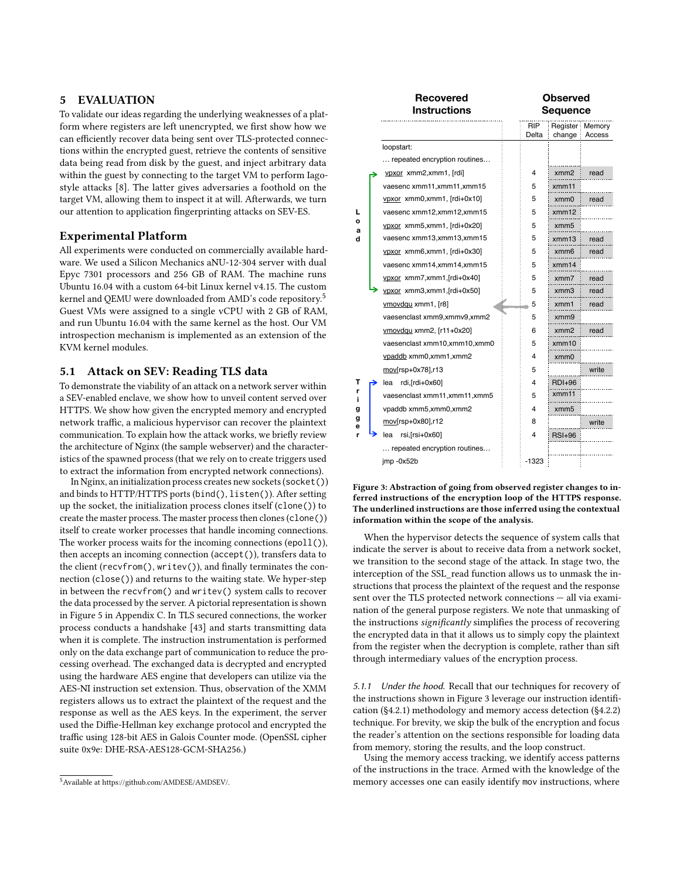## <span id="page-7-0"></span>5 EVALUATION

To validate our ideas regarding the underlying weaknesses of a platform where registers are left unencrypted, we first show how we can efficiently recover data being sent over TLS-protected connections within the encrypted guest, retrieve the contents of sensitive data being read from disk by the guest, and inject arbitrary data within the guest by connecting to the target VM to perform Iagostyle attacks [\[8\]](#page-11-9). The latter gives adversaries a foothold on the target VM, allowing them to inspect it at will. Afterwards, we turn our attention to application fingerprinting attacks on SEV-ES.

#### Experimental Platform

All experiments were conducted on commercially available hardware. We used a Silicon Mechanics aNU-12-304 server with dual Epyc 7301 processors and 256 GB of RAM. The machine runs Ubuntu 16.04 with a custom 64-bit Linux kernel v4.15. The custom kernel and QEMU were downloaded from AMD's code repository.[5](#page-7-1) Guest VMs were assigned to a single vCPU with 2 GB of RAM, and run Ubuntu 16.04 with the same kernel as the host. Our VM introspection mechanism is implemented as an extension of the KVM kernel modules.

## <span id="page-7-3"></span>5.1 Attack on SEV: Reading TLS data

To demonstrate the viability of an attack on a network server within a SEV-enabled enclave, we show how to unveil content served over HTTPS. We show how given the encrypted memory and encrypted network traffic, a malicious hypervisor can recover the plaintext communication. To explain how the attack works, we briefly review the architecture of Nginx (the sample webserver) and the characteristics of the spawned process (that we rely on to create triggers used to extract the information from encrypted network connections).

In Nginx, an initialization process creates new sockets (socket()) and binds to HTTP/HTTPS ports (bind(), listen()). After setting up the socket, the initialization process clones itself (clone()) to create the master process. The master process then clones (clone()) itself to create worker processes that handle incoming connections. The worker process waits for the incoming connections (epoll()), then accepts an incoming connection (accept()), transfers data to the client (recvfrom(), writev()), and finally terminates the connection (close()) and returns to the waiting state. We hyper-step in between the recvfrom() and writev() system calls to recover the data processed by the server. A pictorial representation is shown in Figure [5](#page-12-2) in Appendix [C.](#page-12-3) In TLS secured connections, the worker process conducts a handshake [\[43\]](#page-11-39) and starts transmitting data when it is complete. The instruction instrumentation is performed only on the data exchange part of communication to reduce the processing overhead. The exchanged data is decrypted and encrypted using the hardware AES engine that developers can utilize via the AES-NI instruction set extension. Thus, observation of the XMM registers allows us to extract the plaintext of the request and the response as well as the AES keys. In the experiment, the server used the Diffie-Hellman key exchange protocol and encrypted the traffic using 128-bit AES in Galois Counter mode. (OpenSSL cipher suite 0x9e: DHE-RSA-AES128-GCM-SHA256.)

<span id="page-7-2"></span>

|        | Recovered<br><b>Instructions</b> |              | <b>Observed</b><br>Sequence |                             |
|--------|----------------------------------|--------------|-----------------------------|-----------------------------|
|        |                                  | RIP<br>Delta | change                      | Register : Memory<br>Access |
|        | loopstart:                       |              |                             |                             |
|        | repeated encryption routines     |              |                             |                             |
|        | ypxor xmm2,xmm1, [rdi]           | 4            | xmm2                        | read                        |
|        | vaesenc xmm11,xmm11,xmm15        | 5            | xmm11                       |                             |
|        | vpxor xmm0,xmm1, [rdi+0x10]      | 5            | xmm0                        | read                        |
| L      | vaesenc xmm12,xmm12,xmm15        | 5            | xmm12                       |                             |
| o<br>a | ypxor xmm5,xmm1, [rdi+0x20]      | 5            | xmm5                        |                             |
| d      | vaesenc xmm13,xmm13,xmm15        | 5            | xmm13                       | read                        |
|        | ypxor xmm6,xmm1, [rdi+0x30]      | 5            | xmm6                        | read                        |
|        | vaesenc xmm14,xmm14,xmm15        | 5            | xmm14                       |                             |
|        | ypxor_xmm7,xmm1,[rdi+0x40]       | 5            | xmm7                        | read                        |
|        | ypxor_xmm3,xmm1,[rdi+0x50]       | 5            | $x$ mm $3$                  | read                        |
|        | ymovdqu xmm1, [r8]               | 5            | xmm1                        | read                        |
|        | vaesenclast xmm9, xmmv9, xmm2    | 5            | xmm9                        |                             |
|        | ymovdqu xmm2, [r11+0x20]         | 6            | xmm2                        | read                        |
|        | vaesenclast xmm10,xmm10,xmm0     | 5            | xmm10                       |                             |
|        | ypaddb xmm0, xmm1, xmm2          | 4            | xmm0                        |                             |
|        | mov[rsp+0x78],r13                | 5            |                             | write                       |
| т      | rdi, [rdi+0x60]<br>lea           | 4            | $RDI+96$                    |                             |
| r<br>i | vaesenclast xmm11,xmm11,xmm5     | 5            | xmm11                       |                             |
| g      | vpaddb xmm5,xmm0,xmm2            | 4            | xmm5                        |                             |
| g<br>е | mov[rsp+0x80],r12                | 8            |                             | write                       |
|        | rsi,[rsi+0x60]<br>lea            | 4            | $RSI+96$                    |                             |
|        | repeated encryption routines     |              |                             |                             |
|        | jmp -0x52b                       | -1323        |                             |                             |

Figure 3: Abstraction of going from observed register changes to inferred instructions of the encryption loop of the HTTPS response. The underlined instructions are those inferred using the contextual information within the scope of the analysis.

When the hypervisor detects the sequence of system calls that indicate the server is about to receive data from a network socket, we transition to the second stage of the attack. In stage two, the interception of the SSL read function allows us to unmask the instructions that process the plaintext of the request and the response sent over the TLS protected network connections — all via examination of the general purpose registers. We note that unmasking of the instructions *significantly* simplifies the process of recovering the encrypted data in that it allows us to simply copy the plaintext from the register when the decryption is complete, rather than sift through intermediary values of the encryption process.

5.1.1 Under the hood. Recall that our techniques for recovery of the instructions shown in Figure [3](#page-7-2) leverage our instruction identification ([§4.2.1\)](#page-4-2) methodology and memory access detection ([§4.2.2\)](#page-5-1) technique. For brevity, we skip the bulk of the encryption and focus the reader's attention on the sections responsible for loading data from memory, storing the results, and the loop construct.

Using the memory access tracking, we identify access patterns of the instructions in the trace. Armed with the knowledge of the memory accesses one can easily identify mov instructions, where

<span id="page-7-1"></span><sup>5</sup>Available at [https://github.com/AMDESE/AMDSEV/.](https://github.com/AMDESE/AMDSEV/)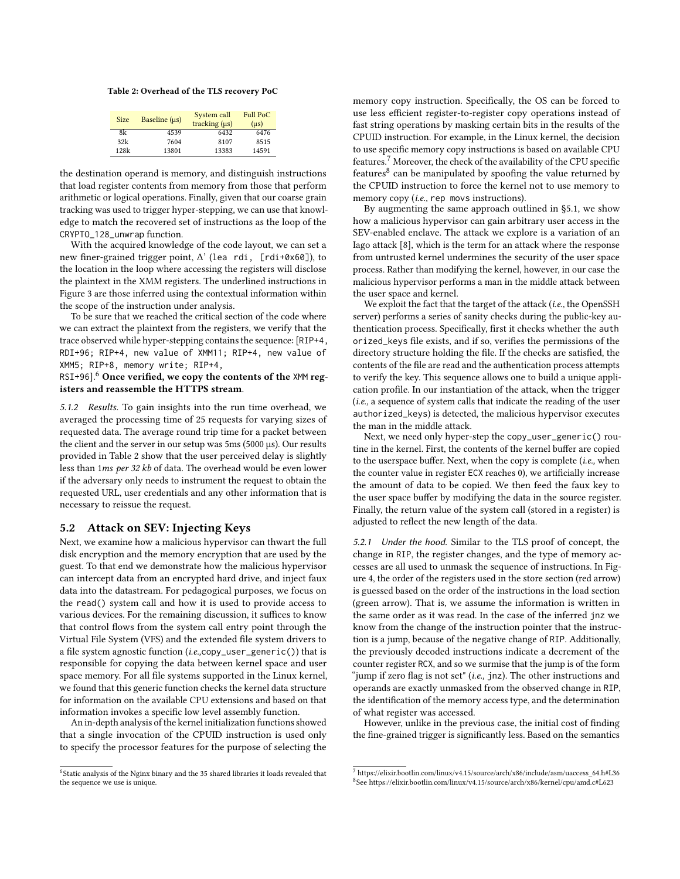<span id="page-8-1"></span>Table 2: Overhead of the TLS recovery PoC

| <b>Size</b> | Baseline (us) | System call<br>tracking $(\mu s)$ | Full PoC<br>$(\mu s)$ |
|-------------|---------------|-----------------------------------|-----------------------|
| 8k          | 4539          | 6432                              | 6476                  |
| 32k         | 7604          | 8107                              | 8515                  |
| 128k        | 13801         | 13383                             | 14591                 |

the destination operand is memory, and distinguish instructions that load register contents from memory from those that perform arithmetic or logical operations. Finally, given that our coarse grain tracking was used to trigger hyper-stepping, we can use that knowledge to match the recovered set of instructions as the loop of the CRYPTO\_128\_unwrap function.

With the acquired knowledge of the code layout, we can set a new finer-grained trigger point, ∆' (lea rdi, [rdi+0x60]), to the location in the loop where accessing the registers will disclose the plaintext in the XMM registers. The underlined instructions in Figure [3](#page-7-2) are those inferred using the contextual information within the scope of the instruction under analysis.

To be sure that we reached the critical section of the code where we can extract the plaintext from the registers, we verify that the trace observed while hyper-stepping contains the sequence: [RIP+4, RDI+96; RIP+4, new value of XMM11; RIP+4, new value of XMM5; RIP+8, memory write; RIP+4,

RSI+9[6](#page-8-0)]. $6$  Once verified, we copy the contents of the XMM registers and reassemble the HTTPS stream.

5.1.2 Results. To gain insights into the run time overhead, we averaged the processing time of 25 requests for varying sizes of requested data. The average round trip time for a packet between the client and the server in our setup was 5ms (5000 µs). Our results provided in Table [2](#page-8-1) show that the user perceived delay is slightly less than <sup>1</sup>ms per 32 kb of data. The overhead would be even lower if the adversary only needs to instrument the request to obtain the requested URL, user credentials and any other information that is necessary to reissue the request.

#### 5.2 Attack on SEV: Injecting Keys

Next, we examine how a malicious hypervisor can thwart the full disk encryption and the memory encryption that are used by the guest. To that end we demonstrate how the malicious hypervisor can intercept data from an encrypted hard drive, and inject faux data into the datastream. For pedagogical purposes, we focus on the read() system call and how it is used to provide access to various devices. For the remaining discussion, it suffices to know that control flows from the system call entry point through the Virtual File System (VFS) and the extended file system drivers to a file system agnostic function  $(i.e., copy\_user\_generic())$  that is responsible for copying the data between kernel space and user space memory. For all file systems supported in the Linux kernel, we found that this generic function checks the kernel data structure for information on the available CPU extensions and based on that information invokes a specific low level assembly function.

An in-depth analysis of the kernel initialization functions showed that a single invocation of the CPUID instruction is used only to specify the processor features for the purpose of selecting the

memory copy instruction. Specifically, the OS can be forced to use less efficient register-to-register copy operations instead of fast string operations by masking certain bits in the results of the CPUID instruction. For example, in the Linux kernel, the decision to use specific memory copy instructions is based on available CPU features.[7](#page-8-2) Moreover, the check of the availability of the CPU specific features<sup>[8](#page-8-3)</sup> can be manipulated by spoofing the value returned by the CPUID instruction to force the kernel not to use memory to memory copy (*i.e.*, rep movs instructions).

By augmenting the same approach outlined in [§5.1,](#page-7-3) we show how a malicious hypervisor can gain arbitrary user access in the SEV-enabled enclave. The attack we explore is a variation of an Iago attack [\[8\]](#page-11-9), which is the term for an attack where the response from untrusted kernel undermines the security of the user space process. Rather than modifying the kernel, however, in our case the malicious hypervisor performs a man in the middle attack between the user space and kernel.

We exploit the fact that the target of the attack (*i.e.*, the OpenSSH server) performs a series of sanity checks during the public-key authentication process. Specifically, first it checks whether the auth orized\_keys file exists, and if so, verifies the permissions of the directory structure holding the file. If the checks are satisfied, the contents of the file are read and the authentication process attempts to verify the key. This sequence allows one to build a unique application profile. In our instantiation of the attack, when the trigger (i.e., a sequence of system calls that indicate the reading of the user authorized\_keys) is detected, the malicious hypervisor executes the man in the middle attack.

Next, we need only hyper-step the copy\_user\_generic() routine in the kernel. First, the contents of the kernel buffer are copied to the userspace buffer. Next, when the copy is complete  $(i.e.,$  when the counter value in register ECX reaches 0), we artificially increase the amount of data to be copied. We then feed the faux key to the user space buffer by modifying the data in the source register. Finally, the return value of the system call (stored in a register) is adjusted to reflect the new length of the data.

5.2.1 Under the hood. Similar to the TLS proof of concept, the change in RIP, the register changes, and the type of memory accesses are all used to unmask the sequence of instructions. In Figure [4,](#page-9-0) the order of the registers used in the store section (red arrow) is guessed based on the order of the instructions in the load section (green arrow). That is, we assume the information is written in the same order as it was read. In the case of the inferred jnz we know from the change of the instruction pointer that the instruction is a jump, because of the negative change of RIP. Additionally, the previously decoded instructions indicate a decrement of the counter register RCX, and so we surmise that the jump is of the form "jump if zero flag is not set" (i.e., jnz). The other instructions and operands are exactly unmasked from the observed change in RIP, the identification of the memory access type, and the determination of what register was accessed.

However, unlike in the previous case, the initial cost of finding the fine-grained trigger is significantly less. Based on the semantics

<span id="page-8-0"></span><sup>&</sup>lt;sup>6</sup>Static analysis of the Nginx binary and the 35 shared libraries it loads revealed that the sequence we use is unique.

<span id="page-8-3"></span><span id="page-8-2"></span> $^7$  [https://elixir.bootlin.com/linux/v4.15/source/arch/x86/include/asm/uaccess\\_64.h#L36](https://elixir.bootlin.com/linux/v4.15/source/arch/x86/include/asm/uaccess_64.h#L36) 8 See<https://elixir.bootlin.com/linux/v4.15/source/arch/x86/kernel/cpu/amd.c#L623>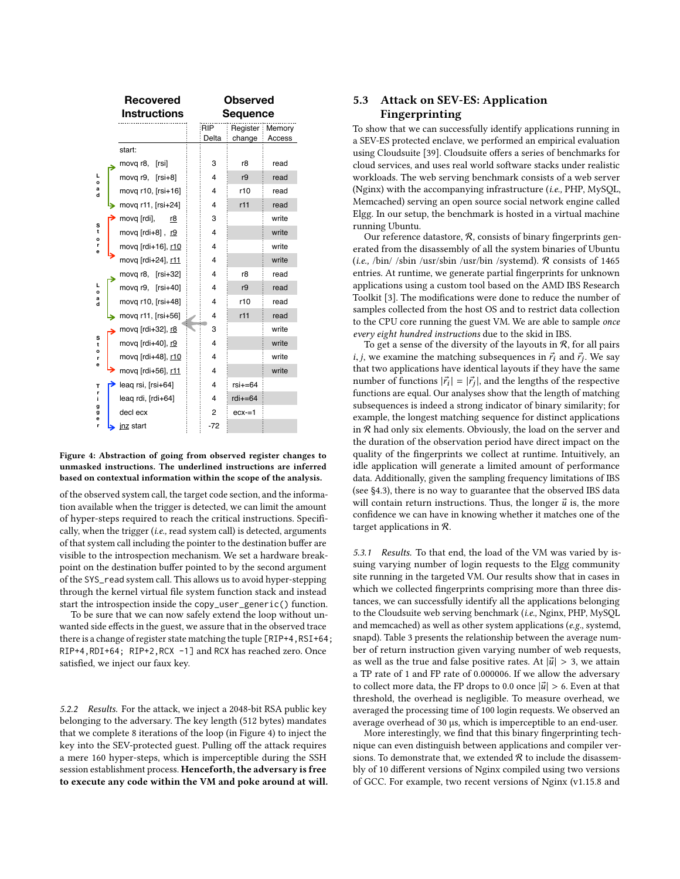<span id="page-9-0"></span>

Figure 4: Abstraction of going from observed register changes to unmasked instructions. The underlined instructions are inferred based on contextual information within the scope of the analysis.

of the observed system call, the target code section, and the information available when the trigger is detected, we can limit the amount of hyper-steps required to reach the critical instructions. Specifically, when the trigger (i.e., read system call) is detected, arguments of that system call including the pointer to the destination buffer are visible to the introspection mechanism. We set a hardware breakpoint on the destination buffer pointed to by the second argument of the SYS\_read system call. This allows us to avoid hyper-stepping through the kernel virtual file system function stack and instead start the introspection inside the copy\_user\_generic() function.

To be sure that we can now safely extend the loop without unwanted side effects in the guest, we assure that in the observed trace there is a change of register state matching the tuple [RIP+4,RSI+64; RIP+4,RDI+64; RIP+2,RCX -1] and RCX has reached zero. Once satisfied, we inject our faux key.

5.2.2 Results. For the attack, we inject a 2048-bit RSA public key belonging to the adversary. The key length (512 bytes) mandates that we complete 8 iterations of the loop (in Figure [4\)](#page-9-0) to inject the key into the SEV-protected guest. Pulling off the attack requires a mere 160 hyper-steps, which is imperceptible during the SSH session establishment process. Henceforth, the adversary is free to execute any code within the VM and poke around at will.

# 5.3 Attack on SEV-ES: Application Fingerprinting

To show that we can successfully identify applications running in a SEV-ES protected enclave, we performed an empirical evaluation using Cloudsuite [\[39\]](#page-11-40). Cloudsuite offers a series of benchmarks for cloud services, and uses real world software stacks under realistic workloads. The web serving benchmark consists of a web server (Nginx) with the accompanying infrastructure (i.e., PHP, MySQL, Memcached) serving an open source social network engine called Elgg. In our setup, the benchmark is hosted in a virtual machine running Ubuntu.

Our reference datastore,  $R$ , consists of binary fingerprints generated from the disassembly of all the system binaries of Ubuntu (*i.e.*, /bin/ /sbin /usr/sbin /usr/bin /systemd).  $\mathcal R$  consists of 1465 entries. At runtime, we generate partial fingerprints for unknown applications using a custom tool based on the AMD IBS Research Toolkit [\[3\]](#page-11-41). The modifications were done to reduce the number of samples collected from the host OS and to restrict data collection to the CPU core running the guest VM. We are able to sample once every eight hundred instructions due to the skid in IBS.

To get a sense of the diversity of the layouts in  ${\cal R},$  for all pairs *i*, *j*, we examine the matching subsequences in  $\vec{r_i}$  and  $\vec{r_j}$ . We say that two applications have identical layouts if they have the same that two applications have identical layouts if they have the same number of functions  $|\vec{r_i}| = |\vec{r_j}|$ , and the lengths of the respective<br>functions are equal. Our analyses show that the length of matching functions are equal. Our analyses show that the length of matching subsequences is indeed a strong indicator of binary similarity; for example, the longest matching sequence for distinct applications in  $R$  had only six elements. Obviously, the load on the server and the duration of the observation period have direct impact on the quality of the fingerprints we collect at runtime. Intuitively, an idle application will generate a limited amount of performance data. Additionally, given the sampling frequency limitations of IBS (see [§4.3\)](#page-6-0), there is no way to guarantee that the observed IBS data will contain return instructions. Thus, the longer  $\vec{u}$  is, the more confidence we can have in knowing whether it matches one of the target applications in R.

5.3.1 Results. To that end, the load of the VM was varied by issuing varying number of login requests to the Elgg community site running in the targeted VM. Our results show that in cases in which we collected fingerprints comprising more than three distances, we can successfully identify all the applications belonging to the Cloudsuite web serving benchmark (i.e., Nginx, PHP, MySQL and memcached) as well as other system applications (e.g., systemd, snapd). Table [3](#page-10-0) presents the relationship between the average number of return instruction given varying number of web requests, as well as the true and false positive rates. At  $|\vec{u}| > 3$ , we attain a TP rate of 1 and FP rate of 0.000006. If we allow the adversary to collect more data, the FP drops to 0.0 once  $|\vec{u}| > 6$ . Even at that threshold, the overhead is negligible. To measure overhead, we averaged the processing time of 100 login requests. We observed an average overhead of 30 µs, which is imperceptible to an end-user.

More interestingly, we find that this binary fingerprinting technique can even distinguish between applications and compiler versions. To demonstrate that, we extended  $R$  to include the disassembly of 10 different versions of Nginx compiled using two versions of GCC. For example, two recent versions of Nginx (v1.15.8 and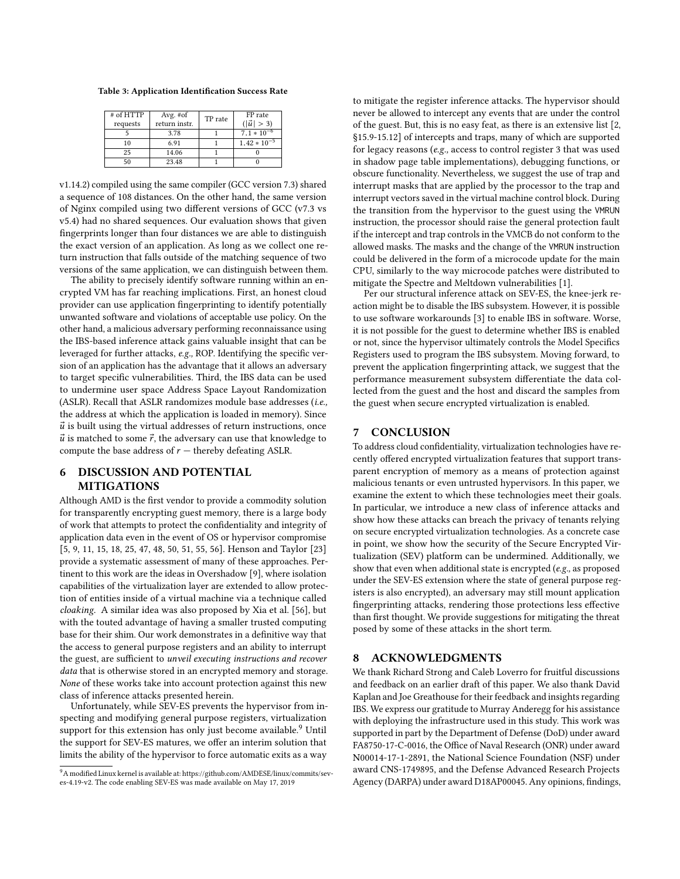<span id="page-10-0"></span>Table 3: Application Identification Success Rate

| $#$ of HTTP<br>requests | Avg. $#of$<br>return instr. | TP rate | FP rate<br>$( \vec{u}  > 3)$ |
|-------------------------|-----------------------------|---------|------------------------------|
|                         | 3.78                        |         | $7.1 * 10^{-6}$              |
| 10                      | 6.91                        |         | $1.42 * 10^{-5}$             |
| 25                      | 14.06                       |         |                              |
|                         | 23.48                       |         |                              |

v1.14.2) compiled using the same compiler (GCC version 7.3) shared a sequence of 108 distances. On the other hand, the same version of Nginx compiled using two different versions of GCC (v7.3 vs v5.4) had no shared sequences. Our evaluation shows that given fingerprints longer than four distances we are able to distinguish the exact version of an application. As long as we collect one return instruction that falls outside of the matching sequence of two versions of the same application, we can distinguish between them.

The ability to precisely identify software running within an encrypted VM has far reaching implications. First, an honest cloud provider can use application fingerprinting to identify potentially unwanted software and violations of acceptable use policy. On the other hand, a malicious adversary performing reconnaissance using the IBS-based inference attack gains valuable insight that can be leveraged for further attacks, e.g., ROP. Identifying the specific version of an application has the advantage that it allows an adversary to target specific vulnerabilities. Third, the IBS data can be used to undermine user space Address Space Layout Randomization (ASLR). Recall that ASLR randomizes module base addresses (i.e., the address at which the application is loaded in memory). Since  $\vec{u}$  is built using the virtual addresses of return instructions, once  $\vec{u}$  is matched to some  $\vec{r},$  the adversary can use that knowledge to compute the base address of  $r$  – thereby defeating ASLR.

# 6 DISCUSSION AND POTENTIAL MITIGATIONS

Although AMD is the first vendor to provide a commodity solution for transparently encrypting guest memory, there is a large body of work that attempts to protect the confidentiality and integrity of application data even in the event of OS or hypervisor compromise [\[5,](#page-11-42) [9,](#page-11-43) [11,](#page-11-44) [15,](#page-11-45) [18,](#page-11-46) [25,](#page-11-47) [47,](#page-11-48) [48,](#page-11-49) [50,](#page-11-22) [51,](#page-11-50) [55,](#page-11-51) [56\]](#page-11-52). Henson and Taylor [\[23\]](#page-11-53) provide a systematic assessment of many of these approaches. Pertinent to this work are the ideas in Overshadow [\[9\]](#page-11-43), where isolation capabilities of the virtualization layer are extended to allow protection of entities inside of a virtual machine via a technique called cloaking. A similar idea was also proposed by Xia et al. [\[56\]](#page-11-52), but with the touted advantage of having a smaller trusted computing base for their shim. Our work demonstrates in a definitive way that the access to general purpose registers and an ability to interrupt the guest, are sufficient to unveil executing instructions and recover data that is otherwise stored in an encrypted memory and storage. None of these works take into account protection against this new class of inference attacks presented herein.

Unfortunately, while SEV-ES prevents the hypervisor from inspecting and modifying general purpose registers, virtualization support for this extension has only just become available.<sup>[9](#page-10-1)</sup> Until the support for SEV-ES matures, we offer an interim solution that limits the ability of the hypervisor to force automatic exits as a way

to mitigate the register inference attacks. The hypervisor should never be allowed to intercept any events that are under the control of the guest. But, this is no easy feat, as there is an extensive list [\[2,](#page-11-54) §15.9-15.12] of intercepts and traps, many of which are supported for legacy reasons (e.g., access to control register 3 that was used in shadow page table implementations), debugging functions, or obscure functionality. Nevertheless, we suggest the use of trap and interrupt masks that are applied by the processor to the trap and interrupt vectors saved in the virtual machine control block. During the transition from the hypervisor to the guest using the VMRUN instruction, the processor should raise the general protection fault if the intercept and trap controls in the VMCB do not conform to the allowed masks. The masks and the change of the VMRUN instruction could be delivered in the form of a microcode update for the main CPU, similarly to the way microcode patches were distributed to mitigate the Spectre and Meltdown vulnerabilities [\[1\]](#page-11-55).

Per our structural inference attack on SEV-ES, the knee-jerk reaction might be to disable the IBS subsystem. However, it is possible to use software workarounds [\[3\]](#page-11-41) to enable IBS in software. Worse, it is not possible for the guest to determine whether IBS is enabled or not, since the hypervisor ultimately controls the Model Specifics Registers used to program the IBS subsystem. Moving forward, to prevent the application fingerprinting attack, we suggest that the performance measurement subsystem differentiate the data collected from the guest and the host and discard the samples from the guest when secure encrypted virtualization is enabled.

# 7 CONCLUSION

To address cloud confidentiality, virtualization technologies have recently offered encrypted virtualization features that support transparent encryption of memory as a means of protection against malicious tenants or even untrusted hypervisors. In this paper, we examine the extent to which these technologies meet their goals. In particular, we introduce a new class of inference attacks and show how these attacks can breach the privacy of tenants relying on secure encrypted virtualization technologies. As a concrete case in point, we show how the security of the Secure Encrypted Virtualization (SEV) platform can be undermined. Additionally, we show that even when additional state is encrypted (e.g., as proposed under the SEV-ES extension where the state of general purpose registers is also encrypted), an adversary may still mount application fingerprinting attacks, rendering those protections less effective than first thought. We provide suggestions for mitigating the threat posed by some of these attacks in the short term.

## 8 ACKNOWLEDGMENTS

We thank Richard Strong and Caleb Loverro for fruitful discussions and feedback on an earlier draft of this paper. We also thank David Kaplan and Joe Greathouse for their feedback and insights regarding IBS. We express our gratitude to Murray Anderegg for his assistance with deploying the infrastructure used in this study. This work was supported in part by the Department of Defense (DoD) under award FA8750-17-C-0016, the Office of Naval Research (ONR) under award N00014-17-1-2891, the National Science Foundation (NSF) under award CNS-1749895, and the Defense Advanced Research Projects Agency (DARPA) under award D18AP00045. Any opinions, findings,

<span id="page-10-1"></span><sup>9</sup>A modified Linux kernel is available at: https://github.com/AMDESE/linux/commits/seves-4.19-v2. The code enabling SEV-ES was made available on May 17, 2019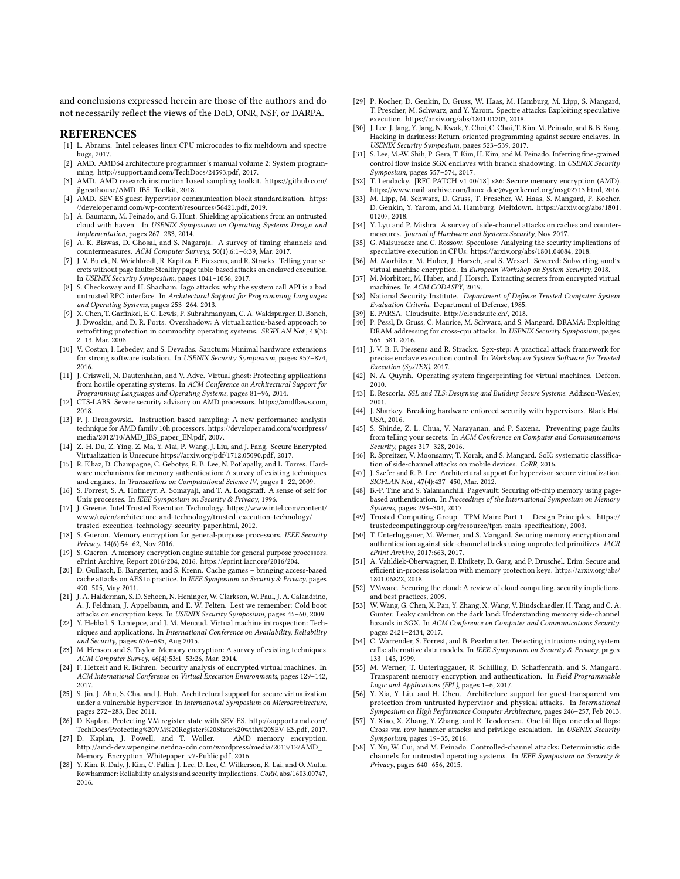and conclusions expressed herein are those of the authors and do not necessarily reflect the views of the DoD, ONR, NSF, or DARPA.

#### REFERENCES

- <span id="page-11-55"></span>[1] L. Abrams. Intel releases linux CPU microcodes to fix meltdown and spectre bugs, 2017.
- <span id="page-11-54"></span>[2] AMD. AMD64 architecture programmer's manual volume 2: System programming. [http://support.amd.com/TechDocs/24593.pdf,](http://support.amd.com/TechDocs/24593.pdf) 2017.
- <span id="page-11-41"></span>[3] AMD. AMD research instruction based sampling toolkit. [https://github.com/](https://github.com/jlgreathouse/AMD_IBS_Toolkit) [jlgreathouse/AMD\\_IBS\\_Toolkit,](https://github.com/jlgreathouse/AMD_IBS_Toolkit) 2018.
- <span id="page-11-18"></span>[4] AMD. SEV-ES guest-hypervisor communication block standardization. [https:](https://developer.amd.com/wp-content/resources/56421.pdf) [//developer.amd.com/wp-content/resources/56421.pdf,](https://developer.amd.com/wp-content/resources/56421.pdf) 2019.
- <span id="page-11-42"></span>[5] A. Baumann, M. Peinado, and G. Hunt. Shielding applications from an untrusted cloud with haven. In USENIX Symposium on Operating Systems Design and Implementation, pages 267–283, 2014.
- <span id="page-11-29"></span>[6] A. K. Biswas, D. Ghosal, and S. Nagaraja. A survey of timing channels and countermeasures. ACM Computer Surveys, 50(1):6:1–6:39, Mar. 2017.
- <span id="page-11-16"></span>[7] J. V. Bulck, N. Weichbrodt, R. Kapitza, F. Piessens, and R. Strackx. Telling your secrets without page faults: Stealthy page table-based attacks on enclaved execution. In USENIX Security Symposium, pages 1041–1056, 2017.
- <span id="page-11-9"></span>[8] S. Checkoway and H. Shacham. Iago attacks: why the system call API is a bad untrusted RPC interface. In Architectural Support for Programming Languages and Operating Systems, pages 253–264, 2013.
- <span id="page-11-43"></span>[9] X. Chen, T. Garfinkel, E. C. Lewis, P. Subrahmanyam, C. A. Waldspurger, D. Boneh, J. Dwoskin, and D. R. Ports. Overshadow: A virtualization-based approach to retrofitting protection in commodity operating systems. SIGPLAN Not., 43(3): 2–13, Mar. 2008.
- [10] V. Costan, I. Lebedev, and S. Devadas. Sanctum: Minimal hardware extensions for strong software isolation. In USENIX Security Symposium, pages 857–874, 2016.
- <span id="page-11-44"></span>[11] J. Criswell, N. Dautenhahn, and V. Adve. Virtual ghost: Protecting applications from hostile operating systems. In ACM Conference on Architectural Support for Programming Languages and Operating Systems, pages 81–96, 2014.
- <span id="page-11-17"></span>[12] CTS-LABS. Severe security advisory on AMD processors. [https://amdflaws.com,](https://amdflaws.com) 2018.
- <span id="page-11-38"></span>[13] P. J. Drongowski. Instruction-based sampling: A new performance analysis technique for AMD family 10h processors. [https://developer.amd.com/wordpress/](https://developer.amd.com/wordpress/media/2012/10/AMD_IBS_paper_EN.pdf) [media/2012/10/AMD\\_IBS\\_paper\\_EN.pdf,](https://developer.amd.com/wordpress/media/2012/10/AMD_IBS_paper_EN.pdf) 2007.
- <span id="page-11-33"></span>[14] Z.-H. Du, Z. Ying, Z. Ma, Y. Mai, P. Wang, J. Liu, and J. Fang. Secure Encrypted Virtualization is Unsecur[e https://arxiv.org/pdf/1712.05090.pdf,](https://arxiv.org/pdf/1712.05090.pdf) 2017.
- <span id="page-11-45"></span>[15] R. Elbaz, D. Champagne, C. Gebotys, R. B. Lee, N. Potlapally, and L. Torres. Hardware mechanisms for memory authentication: A survey of existing techniques and engines. In Transactions on Computational Science IV, pages 1-22, 2009.
- <span id="page-11-35"></span>[16] S. Forrest, S. A. Hofmeyr, A. Somayaji, and T. A. Longstaff. A sense of self for Unix processes. In IEEE Symposium on Security & Privacy, 1996.
- <span id="page-11-1"></span>[17] J. Greene. Intel Trusted Execution Technology. [https://www.intel.com/content/](https://www.intel.com/content/www/us/en/architecture-and-technology/trusted-execution-technology/trusted-execution-technology-security-paper.html) [www/us/en/architecture-and-technology/trusted-execution-technology/](https://www.intel.com/content/www/us/en/architecture-and-technology/trusted-execution-technology/trusted-execution-technology-security-paper.html) [trusted-execution-technology-security-paper.html,](https://www.intel.com/content/www/us/en/architecture-and-technology/trusted-execution-technology/trusted-execution-technology-security-paper.html) 2012.
- <span id="page-11-46"></span>[18] S. Gueron. Memory encryption for general-purpose processors. IEEE Security Privacy, 14(6):54–62, Nov 2016.
- [19] S. Gueron. A memory encryption engine suitable for general purpose processors. ePrint Archive, Report 2016/204, 2016. [https://eprint.iacr.org/2016/204.](https://eprint.iacr.org/2016/204)
- <span id="page-11-25"></span>[20] D. Gullasch, E. Bangerter, and S. Krenn. Cache games – bringing access-based cache attacks on AES to practice. In IEEE Symposium on Security & Privacy, pages 490–505, May 2011.
- <span id="page-11-6"></span>[21] J. A. Halderman, S. D. Schoen, N. Heninger, W. Clarkson, W. Paul, J. A. Calandrino, A. J. Feldman, J. Appelbaum, and E. W. Felten. Lest we remember: Cold boot attacks on encryption keys. In USENIX Security Symposium, pages 45–60, 2009.
- <span id="page-11-4"></span>[22] Y. Hebbal, S. Laniepce, and J. M. Menaud. Virtual machine introspection: Techniques and applications. In International Conference on Availability, Reliability and Security, pages 676–685, Aug 2015.
- <span id="page-11-53"></span>[23] M. Henson and S. Taylor. Memory encryption: A survey of existing techniques. ACM Computer Survey, 46(4):53:1–53:26, Mar. 2014.
- <span id="page-11-11"></span>[24] F. Hetzelt and R. Buhren. Security analysis of encrypted virtual machines. In ACM International Conference on Virtual Execution Environments, pages 129–142, 2017.
- <span id="page-11-47"></span>[25] S. Jin, J. Ahn, S. Cha, and J. Huh. Architectural support for secure virtualization under a vulnerable hypervisor. In International Symposium on Microarchitecture, pages 272–283, Dec 2011.
- <span id="page-11-7"></span>[26] D. Kaplan. Protecting VM register state with SEV-ES. [http://support.amd.com/](http://support.amd.com/TechDocs/Protecting%20VM%20Register%20State%20with%20SEV-ES.pdf) [TechDocs/Protecting%20VM%20Register%20State%20with%20SEV-ES.pdf,](http://support.amd.com/TechDocs/Protecting%20VM%20Register%20State%20with%20SEV-ES.pdf) 2017.
- <span id="page-11-5"></span>[27] D. Kaplan, J. Powell, and T. Woller. [http://amd-dev.wpengine.netdna-cdn.com/wordpress/media/2013/12/AMD\\_](http://amd-dev.wpengine.netdna-cdn.com/wordpress/media/2013/12/AMD_Memory_Encryption_Whitepaper_v7-Public.pdf) [Memory\\_Encryption\\_Whitepaper\\_v7-Public.pdf,](http://amd-dev.wpengine.netdna-cdn.com/wordpress/media/2013/12/AMD_Memory_Encryption_Whitepaper_v7-Public.pdf) 2016.
- <span id="page-11-26"></span>[28] Y. Kim, R. Daly, J. Kim, C. Fallin, J. Lee, D. Lee, C. Wilkerson, K. Lai, and O. Mutlu. Rowhammer: Reliability analysis and security implications. CoRR, abs/1603.00747, 2016.
- <span id="page-11-19"></span>[29] P. Kocher, D. Genkin, D. Gruss, W. Haas, M. Hamburg, M. Lipp, S. Mangard, T. Prescher, M. Schwarz, and Y. Yarom. Spectre attacks: Exploiting speculative execution. [https://arxiv.org/abs/1801.01203,](https://arxiv.org/abs/1801.01203) 2018.
- <span id="page-11-13"></span>[30] J. Lee, J. Jang, Y. Jang, N. Kwak, Y. Choi, C. Choi, T. Kim, M. Peinado, and B. B. Kang. Hacking in darkness: Return-oriented programming against secure enclaves. In USENIX Security Symposium, pages 523–539, 2017.
- <span id="page-11-14"></span>[31] S. Lee, M.-W. Shih, P. Gera, T. Kim, H. Kim, and M. Peinado. Inferring fine-grained control flow inside SGX enclaves with branch shadowing. In USENIX Security Symposium, pages 557–574, 2017.
- <span id="page-11-8"></span>[32] T. Lendacky. [RFC PATCH v1 00/18] x86: Secure memory encryption (AMD). [https://www.mail-archive.com/linux-doc@vger.kernel.org/msg02713.html,](https://www.mail-archive.com/linux-doc@vger.kernel.org/msg02713.html) 2016.
- <span id="page-11-20"></span>M. Lipp, M. Schwarz, D. Gruss, T. Prescher, W. Haas, S. Mangard, P. Kocher, D. Genkin, Y. Yarom, and M. Hamburg. Meltdown. [https://arxiv.org/abs/1801.](https://arxiv.org/abs/1801.01207) [01207,](https://arxiv.org/abs/1801.01207) 2018.
- <span id="page-11-30"></span>[34] Y. Lyu and P. Mishra. A survey of side-channel attacks on caches and countermeasures. Journal of Hardware and Systems Security, Nov 2017.
- <span id="page-11-21"></span>[35] G. Maisuradze and C. Rossow. Speculose: Analyzing the security implications of speculative execution in CPUs. [https://arxiv.org/abs/1801.04084,](https://arxiv.org/abs/1801.04084) 2018.
- <span id="page-11-10"></span>M. Morbitzer, M. Huber, J. Horsch, and S. Wessel. Severed: Subverting amd's virtual machine encryption. In European Workshop on System Security, 2018.
- <span id="page-11-34"></span>M. Morbitzer, M. Huber, and J. Horsch. Extracting secrets from encrypted virtual machines. In ACM CODASPY, 2019.
- <span id="page-11-3"></span>[38] National Security Institute. Department of Defense Trusted Computer System Evaluation Criteria. Department of Defense, 1985.
- <span id="page-11-40"></span>[39] E. PARSA. Cloudsuite. [http://cloudsuite.ch/,](http://cloudsuite.ch/) 2018.
- <span id="page-11-27"></span>[40] P. Pessl, D. Gruss, C. Maurice, M. Schwarz, and S. Mangard. DRAMA: Exploiting DRAM addressing for cross-cpu attacks. In USENIX Security Symposium, pages 565–581, 2016.
- <span id="page-11-12"></span>[41] J. V. B. F. Piessens and R. Strackx. Sgx-step: A practical attack framework for precise enclave execution control. In Workshop on System Software for Trusted Execution (SysTEX), 2017.
- <span id="page-11-36"></span>[42] N. A. Quynh. Operating system fingerprinting for virtual machines. Defcon, 2010.
- <span id="page-11-39"></span>[43] E. Rescorla. SSL and TLS: Designing and Building Secure Systems. Addison-Wesley, 2001.
- <span id="page-11-32"></span>[44] J. Sharkey. Breaking hardware-enforced security with hypervisors. Black Hat USA, 2016.
- <span id="page-11-23"></span>[45] S. Shinde, Z. L. Chua, V. Narayanan, and P. Saxena. Preventing page faults from telling your secrets. In ACM Conference on Computer and Communications Security, pages 317–328, 2016.
- <span id="page-11-31"></span>[46] R. Spreitzer, V. Moonsamy, T. Korak, and S. Mangard. SoK: systematic classification of side-channel attacks on mobile devices. CoRR, 2016.
- <span id="page-11-48"></span>[47] J. Szefer and R. B. Lee. Architectural support for hypervisor-secure virtualization. SIGPLAN Not., 47(4):437–450, Mar. 2012.
- <span id="page-11-49"></span>[48] B.-P. Tine and S. Yalamanchili. Pagevault: Securing off-chip memory using pagebased authentication. In Proceedings of the International Symposium on Memory Systems, pages 293–304, 2017.
- <span id="page-11-2"></span>[49] Trusted Computing Group. TPM Main: Part 1 – Design Principles. [https://](https://trustedcomputinggroup.org/resource/tpm-main-specification/) [trustedcomputinggroup.org/resource/tpm-main-specification/,](https://trustedcomputinggroup.org/resource/tpm-main-specification/) 2003.
- <span id="page-11-22"></span>[50] T. Unterluggauer, M. Werner, and S. Mangard. Securing memory encryption and authentication against side-channel attacks using unprotected primitives. IACR ePrint Archive, 2017:663, 2017.
- <span id="page-11-50"></span>[51] A. Vahldiek-Oberwagner, E. Elnikety, D. Garg, and P. Druschel. Erim: Secure and efficient in-process isolation with memory protection keys. [https://arxiv.org/abs/](https://arxiv.org/abs/1801.06822) [1801.06822,](https://arxiv.org/abs/1801.06822) 2018.
- <span id="page-11-0"></span>[52] VMware. Securing the cloud: A review of cloud computing, security implictions, and best practices, 2009.
- <span id="page-11-15"></span>[53] W. Wang, G. Chen, X. Pan, Y. Zhang, X. Wang, V. Bindschaedler, H. Tang, and C. A. Gunter. Leaky cauldron on the dark land: Understanding memory side-channel hazards in SGX. In ACM Conference on Computer and Communications Security, pages 2421–2434, 2017.
- <span id="page-11-37"></span>[54] C. Warrender, S. Forrest, and B. Pearlmutter. Detecting intrusions using system calls: alternative data models. In IEEE Symposium on Security & Privacy, pages 133–145, 1999.
- <span id="page-11-51"></span>[55] M. Werner, T. Unterluggauer, R. Schilling, D. Schaffenrath, and S. Mangard. Transparent memory encryption and authentication. In Field Programmable Logic and Applications (FPL), pages 1–6, 2017.
- <span id="page-11-52"></span>[56] Y. Xia, Y. Liu, and H. Chen. Architecture support for guest-transparent vm protection from untrusted hypervisor and physical attacks. In International Symposium on High Performance Computer Architecture, pages 246–257, Feb 2013.
- <span id="page-11-28"></span>[57] Y. Xiao, X. Zhang, Y. Zhang, and R. Teodorescu. One bit flips, one cloud flops: Cross-vm row hammer attacks and privilege escalation. In USENIX Security Symposium, pages 19–35, 2016.
- <span id="page-11-24"></span>[58] Y. Xu, W. Cui, and M. Peinado. Controlled-channel attacks: Deterministic side channels for untrusted operating systems. In IEEE Symposium on Security & Privacy, pages 640–656, 2015.